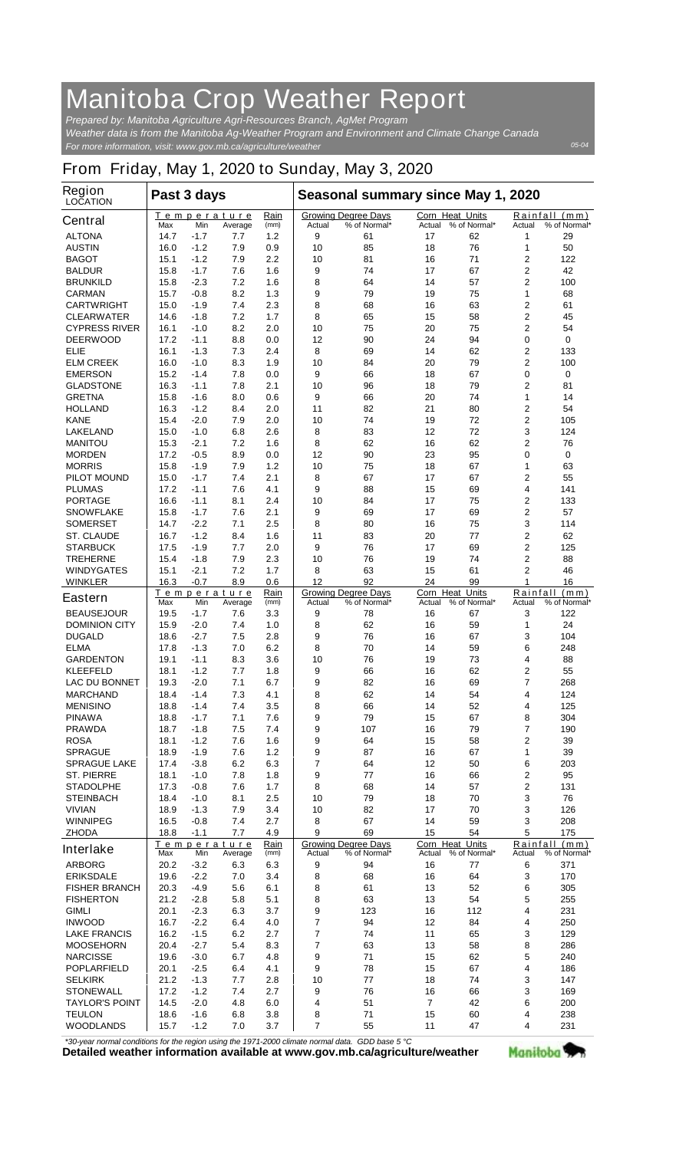## **Manitoba Crop Weather Report**

*For more information, visit: www.gov.mb.ca/agriculture/weather Prepared by: Manitoba Agriculture Agri-Resources Branch, AgMet Program Weather data is from the Manitoba Ag-Weather Program and Environment and Climate Change Canada*

## **From Friday, May 1, 2020 to Sunday, May 3, 2020**

| Region<br><b>LOCATION</b>              | Past 3 days                                 |                  |                        |                                                      | Seasonal summary since May 1, 2020         |                                            |                                  |                                                   |                     |                               |
|----------------------------------------|---------------------------------------------|------------------|------------------------|------------------------------------------------------|--------------------------------------------|--------------------------------------------|----------------------------------|---------------------------------------------------|---------------------|-------------------------------|
| Central                                | Max                                         | Min              | Temperature<br>Average | Rain<br>(mm)                                         | Actual                                     | <b>Growing Degree Days</b><br>% of Normal* | <b>Corn Heat Units</b><br>Actual | % of Normal*                                      | Actual              | Rainfall (mm)<br>% of Normal* |
| <b>ALTONA</b>                          | 14.7                                        | $-1.7$           | 7.7                    | 1.2                                                  | 9                                          | 61                                         | 17                               | 62                                                | 1                   | 29                            |
| <b>AUSTIN</b>                          | 16.0                                        | $-1.2$           | 7.9                    | 0.9                                                  | 10                                         | 85                                         | 18                               | 76                                                | 1                   | 50                            |
| <b>BAGOT</b>                           | 15.1                                        | $-1.2$           | 7.9                    | 2.2                                                  | 10                                         | 81                                         | 16                               | 71                                                | 2                   | 122                           |
| <b>BALDUR</b>                          | 15.8                                        | $-1.7$<br>$-2.3$ | 7.6<br>7.2             | 1.6                                                  | 9                                          | 74<br>64                                   | 17<br>14                         | 67<br>57                                          | 2<br>$\overline{2}$ | 42                            |
| <b>BRUNKILD</b><br><b>CARMAN</b>       | 15.8<br>15.7                                | $-0.8$           | 8.2                    | 1.6<br>1.3                                           | 8<br>9                                     | 79                                         | 19                               | 75                                                | 1                   | 100<br>68                     |
| <b>CARTWRIGHT</b>                      | 15.0                                        | $-1.9$           | 7.4                    | 2.3                                                  | 8                                          | 68                                         | 16                               | 63                                                | 2                   | 61                            |
| <b>CLEARWATER</b>                      | 14.6                                        | $-1.8$           | 7.2                    | 1.7                                                  | 8                                          | 65                                         | 15                               | 58                                                | 2                   | 45                            |
| <b>CYPRESS RIVER</b>                   | 16.1                                        | $-1.0$           | 8.2                    | 2.0                                                  | 10                                         | 75                                         | 20                               | 75                                                | $\overline{2}$      | 54                            |
| <b>DEERWOOD</b>                        | 17.2                                        | $-1.1$           | 8.8                    | 0.0                                                  | 12                                         | 90                                         | 24                               | 94                                                | 0                   | 0                             |
| ELIE                                   | 16.1                                        | $-1.3$           | 7.3                    | 2.4                                                  | 8                                          | 69                                         | 14                               | 62                                                | $\overline{2}$      | 133                           |
| <b>ELM CREEK</b>                       | 16.0                                        | $-1.0$           | 8.3                    | 1.9                                                  | 10                                         | 84                                         | 20                               | 79                                                | $\overline{2}$      | 100                           |
| <b>EMERSON</b>                         | 15.2                                        | $-1.4$           | 7.8                    | 0.0                                                  | 9                                          | 66                                         | 18                               | 67                                                | 0                   | 0                             |
| <b>GLADSTONE</b>                       | 16.3                                        | $-1.1$           | 7.8                    | 2.1                                                  | 10                                         | 96                                         | 18                               | 79                                                | $\overline{2}$      | 81                            |
| <b>GRETNA</b>                          | 15.8                                        | $-1.6$           | 8.0                    | 0.6                                                  | 9                                          | 66                                         | 20                               | 74                                                | 1                   | 14                            |
| <b>HOLLAND</b>                         | 16.3                                        | $-1.2$           | 8.4                    | 2.0                                                  | 11                                         | 82                                         | 21                               | 80                                                | $\overline{2}$      | 54                            |
| <b>KANE</b>                            | 15.4                                        | $-2.0$           | 7.9                    | 2.0                                                  | 10                                         | 74                                         | 19                               | 72                                                | $\overline{2}$      | 105                           |
| <b>LAKELAND</b><br><b>MANITOU</b>      | 15.0                                        | $-1.0$           | 6.8                    | 2.6                                                  | 8                                          | 83                                         | 12                               | 72                                                | 3                   | 124                           |
| <b>MORDEN</b>                          | 15.3<br>17.2                                | $-2.1$<br>$-0.5$ | 7.2<br>8.9             | 1.6<br>0.0                                           | 8<br>12                                    | 62<br>90                                   | 16<br>23                         | 62<br>95                                          | $\overline{2}$<br>0 | 76<br>0                       |
| <b>MORRIS</b>                          | 15.8                                        | $-1.9$           | 7.9                    | 1.2                                                  | 10                                         | 75                                         | 18                               | 67                                                | 1                   | 63                            |
| <b>PILOT MOUND</b>                     | 15.0                                        | $-1.7$           | 7.4                    | 2.1                                                  | 8                                          | 67                                         | 17                               | 67                                                | $\overline{2}$      | 55                            |
| <b>PLUMAS</b>                          | 17.2                                        | $-1.1$           | 7.6                    | 4.1                                                  | 9                                          | 88                                         | 15                               | 69                                                | 4                   | 141                           |
| <b>PORTAGE</b>                         | 16.6                                        | $-1.1$           | 8.1                    | 2.4                                                  | 10                                         | 84                                         | 17                               | 75                                                | 2                   | 133                           |
| <b>SNOWFLAKE</b>                       | 15.8                                        | $-1.7$           | 7.6                    | 2.1                                                  | 9                                          | 69                                         | 17                               | 69                                                | $\overline{2}$      | 57                            |
| <b>SOMERSET</b>                        | 14.7                                        | $-2.2$           | 7.1                    | 2.5                                                  | 8                                          | 80                                         | 16                               | 75                                                | 3                   | 114                           |
| <b>ST. CLAUDE</b>                      | 16.7                                        | $-1.2$           | 8.4                    | 1.6                                                  | 11                                         | 83                                         | 20                               | 77                                                | $\overline{2}$      | 62                            |
| STARBUCK                               | 17.5                                        | $-1.9$           | 7.7                    | 2.0                                                  | 9                                          | 76                                         | 17                               | 69                                                | 2                   | 125                           |
| <b>TREHERNE</b>                        | 15.4                                        | $-1.8$           | 7.9                    | 2.3                                                  | 10                                         | 76                                         | 19                               | 74                                                | 2                   | 88                            |
| <b>WINDYGATES</b>                      | 15.1                                        | $-2.1$           | 7.2                    | 1.7                                                  | 8                                          | 63                                         | 15                               | 61                                                | $\overline{2}$      | 46                            |
| <b>WINKLER</b>                         | 16.3                                        | $-0.7$           | 8.9                    | 0.6                                                  | 12                                         | 92                                         | 24                               | 99                                                | 1                   | 16                            |
| Eastern                                | <u>Temperature</u><br>Max<br>Min<br>Average |                  | Rain<br>(mm)           | Actual                                               | <b>Growing Degree Days</b><br>% of Normal* | <b>Corn Heat Units</b><br>Actual           | % of Normal*                     | Rainfall<br>(mm)<br><b>Actual</b><br>% of Normal* |                     |                               |
| <b>BEAUSEJOUR</b>                      | 19.5                                        | $-1.7$           | 7.6                    | 3.3                                                  | 9                                          | 78                                         | 16                               | 67                                                | 3                   | 122                           |
| <b>DOMINION CITY</b>                   | 15.9                                        | $-2.0$           | 7.4                    | 1.0                                                  | 8                                          | 62                                         | 16                               | 59                                                | 1                   | 24                            |
| <b>DUGALD</b>                          | 18.6                                        | $-2.7$           | 7.5                    | 2.8                                                  | 9                                          | 76                                         | 16                               | 67                                                | 3                   | 104                           |
| <b>ELMA</b>                            | 17.8                                        | $-1.3$           | 7.0                    | 6.2                                                  | 8                                          | 70                                         | 14                               | 59                                                | 6                   | 248                           |
| <b>GARDENTON</b>                       | 19.1                                        | $-1.1$           | 8.3                    | 3.6                                                  | 10                                         | 76                                         | 19                               | 73                                                | 4                   | 88                            |
| <b>KLEEFELD</b>                        | 18.1                                        | $-1.2$           | 7.7                    | 1.8                                                  | 9                                          | 66                                         | 16                               | 62                                                | 2                   | 55                            |
| <b>LAC DU BONNET</b>                   | 19.3                                        | $-2.0$           | 7.1                    | 6.7                                                  | 9                                          | 82                                         | 16                               | 69                                                | 7                   | 268                           |
| <b>MARCHAND</b>                        | 18.4                                        | $-1.4$           | 7.3                    | 4.1                                                  | 8                                          | 62                                         | 14                               | 54                                                | 4                   | 124                           |
| <b>MENISINO</b>                        | 18.8                                        | $-1.4$           | 7.4                    | 3.5                                                  | 8                                          | 66                                         | 14                               | 52                                                | 4                   | 125                           |
| <b>PINAWA</b>                          | 18.8                                        | $-1.7$           | 7.1                    | 7.6                                                  | 9                                          | 79                                         | 15                               | 67                                                | 8                   | 304                           |
| <b>PRAWDA</b><br><b>ROSA</b>           | 18.7<br>18.1                                | $-1.8$<br>-1.2   | 7.5<br>7.6             | 7.4<br>1.6                                           | 9<br>9                                     | 107<br>64                                  | 16<br>15                         | 79<br>58                                          | 7<br>2              | 190<br>39                     |
| <b>SPRAGUE</b>                         | 18.9                                        | $-1.9$           | 7.6                    | 1.2                                                  | 9                                          | 87                                         | 16                               | 67                                                | 1                   | 39                            |
| <b>SPRAGUE LAKE</b>                    | 17.4                                        | $-3.8$           | 6.2                    | 6.3                                                  | 7                                          | 64                                         | 12                               | 50                                                | 6                   | 203                           |
| <b>ST. PIERRE</b>                      | 18.1                                        | $-1.0$           | 7.8                    | 1.8                                                  | 9                                          | 77                                         | 16                               | 66                                                | 2                   | 95                            |
| <b>STADOLPHE</b>                       | 17.3                                        | $-0.8$           | 7.6                    | 1.7                                                  | 8                                          | 68                                         | 14                               | 57                                                | 2                   | 131                           |
| <b>STEINBACH</b>                       | 18.4                                        | $-1.0$           | 8.1                    | 2.5                                                  | 10                                         | 79                                         | 18                               | 70                                                | 3                   | 76                            |
| <b>VIVIAN</b>                          | 18.9                                        | $-1.3$           | 7.9                    | 3.4                                                  | 10                                         | 82                                         | 17                               | 70                                                | 3                   | 126                           |
| <b>WINNIPEG</b>                        | 16.5                                        | $-0.8$           | 7.4                    | 2.7                                                  | 8                                          | 67                                         | 14                               | 59                                                | 3                   | 208                           |
| <b>ZHODA</b>                           | 18.8                                        | $-1.1$           | 7.7                    | 4.9                                                  | 9                                          | 69                                         | 15                               | 54                                                | 5                   | 175                           |
| <b>Interlake</b>                       | Temperature<br>Min<br>Max<br>Average        |                  | Rain<br>(mm)           | <b>Growing Degree Days</b><br>% of Normal*<br>Actual |                                            | Corn Heat Units<br>Actual                  | % of Normal*                     | Rainfall (mm)<br>% of Normal*<br>Actual           |                     |                               |
| <b>ARBORG</b>                          | 20.2                                        | $-3.2$           | 6.3                    | 6.3                                                  | 9                                          | 94                                         | 16                               | 77                                                | 6                   | 371                           |
| <b>ERIKSDALE</b>                       | 19.6                                        | $-2.2$           | 7.0                    | 3.4                                                  | 8                                          | 68                                         | 16                               | 64                                                | 3                   | 170                           |
| <b>FISHER BRANCH</b>                   | 20.3                                        | $-4.9$           | 5.6                    | 6.1                                                  | 8                                          | 61                                         | 13                               | 52                                                | 6                   | 305                           |
| <b>FISHERTON</b>                       | 21.2                                        | $-2.8$           | 5.8                    | 5.1                                                  | 8                                          | 63                                         | 13                               | 54                                                | 5                   | 255                           |
| <b>GIMLI</b>                           | 20.1                                        | $-2.3$           | 6.3                    | 3.7                                                  | 9                                          | 123                                        | 16                               | 112                                               | 4                   | 231                           |
| <b>INWOOD</b>                          | 16.7                                        | $-2.2$           | 6.4                    | 4.0                                                  | 7                                          | 94                                         | 12                               | 84                                                | 4                   | 250                           |
| <b>LAKE FRANCIS</b>                    | 16.2                                        | $-1.5$           | 6.2                    | 2.7                                                  | 7                                          | 74                                         | 11                               | 65                                                | 3                   | 129                           |
| <b>MOOSEHORN</b>                       | 20.4                                        | $-2.7$           | 5.4                    | 8.3                                                  | 7                                          | 63                                         | 13                               | 58                                                | 8                   | 286                           |
| <b>NARCISSE</b>                        | 19.6                                        | $-3.0$           | 6.7                    | 4.8                                                  | 9                                          | 71                                         | 15                               | 62                                                | 5                   | 240                           |
| <b>POPLARFIELD</b>                     | 20.1                                        | $-2.5$           | 6.4                    | 4.1                                                  | 9                                          | 78                                         | 15                               | 67                                                | 4                   | 186                           |
| <b>SELKIRK</b>                         | 21.2                                        | $-1.3$           | 7.7                    | 2.8                                                  | 10                                         | 77                                         | 18                               | 74                                                | 3                   | 147                           |
| <b>STONEWALL</b>                       | 17.2                                        | $-1.2$           | 7.4                    | 2.7                                                  | 9                                          | 76                                         | 16                               | 66                                                | 3                   | 169                           |
| <b>TAYLOR'S POINT</b><br><b>TEULON</b> | 14.5<br>18.6                                | $-2.0$<br>$-1.6$ | 4.8<br>6.8             | 6.0                                                  | 4                                          | 51<br>71                                   | $\overline{7}$<br>15             | 42<br>60                                          | 6<br>4              | 200<br>238                    |
| <b>WOODLANDS</b>                       | 15.7                                        | $-1.2$           | 7.0                    | 3.8<br>3.7                                           | 8<br>7                                     | 55                                         | 11                               | 47                                                | 4                   | 231                           |
|                                        |                                             |                  |                        |                                                      |                                            |                                            |                                  |                                                   |                     |                               |

*\*30-year normal conditions for the region using the 1971-2000 climate normal data. GDD base 5 °C*<br>Detailed weather information available at www.gov.mb.ca/agriculture/weather



*05-04*